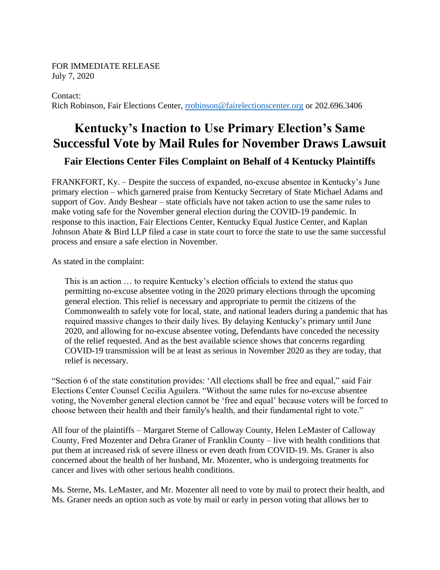## FOR IMMEDIATE RELEASE July 7, 2020

Contact:

Rich Robinson, Fair Elections Center, [rrobinson@fairelectionscenter.org](mailto:rrobinson@fairelectionscenter.org) or 202.696.3406

## **Kentucky's Inaction to Use Primary Election's Same Successful Vote by Mail Rules for November Draws Lawsuit**

## **Fair Elections Center Files Complaint on Behalf of 4 Kentucky Plaintiffs**

FRANKFORT, Ky. – Despite the success of expanded, no-excuse absentee in Kentucky's June primary election – which garnered praise from Kentucky Secretary of State Michael Adams and support of Gov. Andy Beshear – state officials have not taken action to use the same rules to make voting safe for the November general election during the COVID-19 pandemic. In response to this inaction, Fair Elections Center, Kentucky Equal Justice Center, and Kaplan Johnson Abate & Bird LLP filed a case in state court to force the state to use the same successful process and ensure a safe election in November.

As stated in the complaint:

This is an action … to require Kentucky's election officials to extend the status quo permitting no-excuse absentee voting in the 2020 primary elections through the upcoming general election. This relief is necessary and appropriate to permit the citizens of the Commonwealth to safely vote for local, state, and national leaders during a pandemic that has required massive changes to their daily lives. By delaying Kentucky's primary until June 2020, and allowing for no-excuse absentee voting, Defendants have conceded the necessity of the relief requested. And as the best available science shows that concerns regarding COVID-19 transmission will be at least as serious in November 2020 as they are today, that relief is necessary.

"Section 6 of the state constitution provides: 'All elections shall be free and equal," said Fair Elections Center Counsel Cecilia Aguilera. "Without the same rules for no-excuse absentee voting, the November general election cannot be 'free and equal' because voters will be forced to choose between their health and their family's health, and their fundamental right to vote."

All four of the plaintiffs – Margaret Sterne of Calloway County, Helen LeMaster of Calloway County, Fred Mozenter and Debra Graner of Franklin County – live with health conditions that put them at increased risk of severe illness or even death from COVID-19. Ms. Graner is also concerned about the health of her husband, Mr. Mozenter, who is undergoing treatments for cancer and lives with other serious health conditions.

Ms. Sterne, Ms. LeMaster, and Mr. Mozenter all need to vote by mail to protect their health, and Ms. Graner needs an option such as vote by mail or early in person voting that allows her to